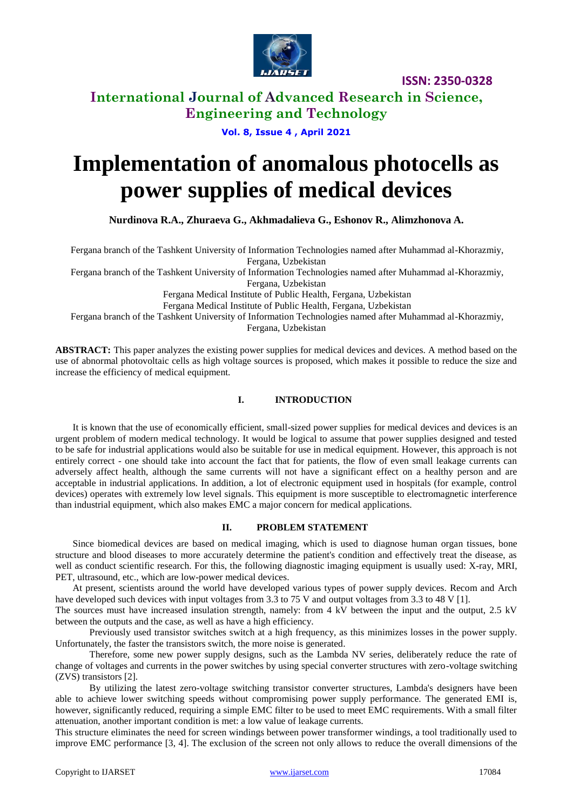

**ISSN: 2350-0328**

# **International Journal of Advanced Research in Science, Engineering and Technology**

### **Vol. 8, Issue 4 , April 2021**

# **Implementation of anomalous photocells as power supplies of medical devices**

**Nurdinova R.A., Zhuraeva G., Akhmadalieva G., Eshonov R., Alimzhonova A.**

Fergana branch of the Tashkent University of Information Technologies named after Muhammad al-Khorazmiy, Fergana, Uzbekistan

Fergana branch of the Tashkent University of Information Technologies named after Muhammad al-Khorazmiy,

Fergana, Uzbekistan

Fergana Medical Institute of Public Health, Fergana, Uzbekistan

Fergana Medical Institute of Public Health, Fergana, Uzbekistan

Fergana branch of the Tashkent University of Information Technologies named after Muhammad al-Khorazmiy,

Fergana, Uzbekistan

**ABSTRACT:** This paper analyzes the existing power supplies for medical devices and devices. A method based on the use of abnormal photovoltaic cells as high voltage sources is proposed, which makes it possible to reduce the size and increase the efficiency of medical equipment.

## **I. INTRODUCTION**

It is known that the use of economically efficient, small-sized power supplies for medical devices and devices is an urgent problem of modern medical technology. It would be logical to assume that power supplies designed and tested to be safe for industrial applications would also be suitable for use in medical equipment. However, this approach is not entirely correct - one should take into account the fact that for patients, the flow of even small leakage currents can adversely affect health, although the same currents will not have a significant effect on a healthy person and are acceptable in industrial applications. In addition, a lot of electronic equipment used in hospitals (for example, control devices) operates with extremely low level signals. This equipment is more susceptible to electromagnetic interference than industrial equipment, which also makes EMC a major concern for medical applications.

#### **II. PROBLEM STATEMENT**

Since biomedical devices are based on medical imaging, which is used to diagnose human organ tissues, bone structure and blood diseases to more accurately determine the patient's condition and effectively treat the disease, as well as conduct scientific research. For this, the following diagnostic imaging equipment is usually used: X-ray, MRI, PET, ultrasound, etc., which are low-power medical devices.

At present, scientists around the world have developed various types of power supply devices. Recom and Arch have developed such devices with input voltages from 3.3 to 75 V and output voltages from 3.3 to 48 V [1].

The sources must have increased insulation strength, namely: from 4 kV between the input and the output, 2.5 kV between the outputs and the case, as well as have a high efficiency.

Previously used transistor switches switch at a high frequency, as this minimizes losses in the power supply. Unfortunately, the faster the transistors switch, the more noise is generated.

Therefore, some new power supply designs, such as the Lambda NV series, deliberately reduce the rate of change of voltages and currents in the power switches by using special converter structures with zero-voltage switching (ZVS) transistors [2].

By utilizing the latest zero-voltage switching transistor converter structures, Lambda's designers have been able to achieve lower switching speeds without compromising power supply performance. The generated EMI is, however, significantly reduced, requiring a simple EMC filter to be used to meet EMC requirements. With a small filter attenuation, another important condition is met: a low value of leakage currents.

This structure eliminates the need for screen windings between power transformer windings, a tool traditionally used to improve EMC performance [3, 4]. The exclusion of the screen not only allows to reduce the overall dimensions of the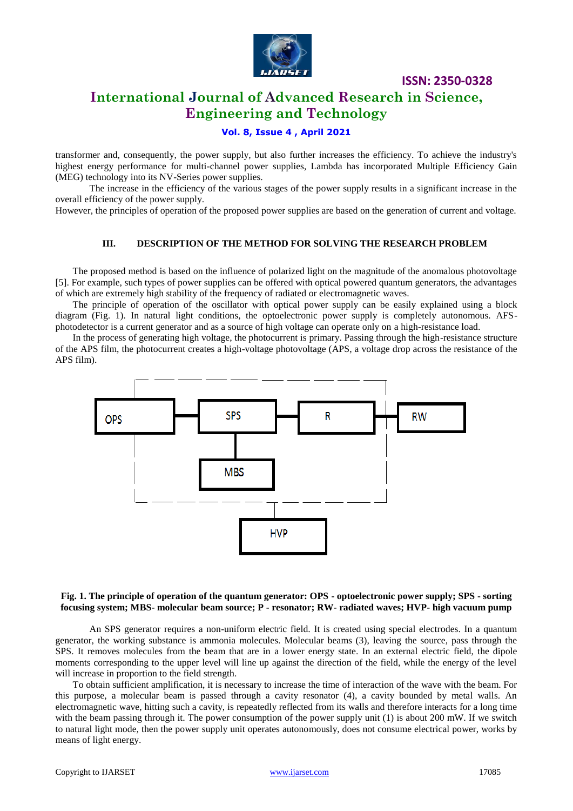

**ISSN: 2350-0328**

# **International Journal of Advanced Research in Science, Engineering and Technology**

## **Vol. 8, Issue 4 , April 2021**

transformer and, consequently, the power supply, but also further increases the efficiency. To achieve the industry's highest energy performance for multi-channel power supplies, Lambda has incorporated Multiple Efficiency Gain (MEG) technology into its NV-Series power supplies.

The increase in the efficiency of the various stages of the power supply results in a significant increase in the overall efficiency of the power supply.

However, the principles of operation of the proposed power supplies are based on the generation of current and voltage.

#### **III. DESCRIPTION OF THE METHOD FOR SOLVING THE RESEARCH PROBLEM**

The proposed method is based on the influence of polarized light on the magnitude of the anomalous photovoltage [5]. For example, such types of power supplies can be offered with optical powered quantum generators, the advantages of which are extremely high stability of the frequency of radiated or electromagnetic waves.

The principle of operation of the oscillator with optical power supply can be easily explained using a block diagram (Fig. 1). In natural light conditions, the optoelectronic power supply is completely autonomous. AFSphotodetector is a current generator and as a source of high voltage can operate only on a high-resistance load.

In the process of generating high voltage, the photocurrent is primary. Passing through the high-resistance structure of the APS film, the photocurrent creates a high-voltage photovoltage (APS, a voltage drop across the resistance of the APS film).



#### **Fig. 1. The principle of operation of the quantum generator: OPS - optoelectronic power supply; SPS - sorting focusing system; MBS- molecular beam source; P - resonator; RW- radiated waves; HVP- high vacuum pump**

An SPS generator requires a non-uniform electric field. It is created using special electrodes. In a quantum generator, the working substance is ammonia molecules. Molecular beams (3), leaving the source, pass through the SPS. It removes molecules from the beam that are in a lower energy state. In an external electric field, the dipole moments corresponding to the upper level will line up against the direction of the field, while the energy of the level will increase in proportion to the field strength.

To obtain sufficient amplification, it is necessary to increase the time of interaction of the wave with the beam. For this purpose, a molecular beam is passed through a cavity resonator (4), a cavity bounded by metal walls. An electromagnetic wave, hitting such a cavity, is repeatedly reflected from its walls and therefore interacts for a long time with the beam passing through it. The power consumption of the power supply unit (1) is about 200 mW. If we switch to natural light mode, then the power supply unit operates autonomously, does not consume electrical power, works by means of light energy.